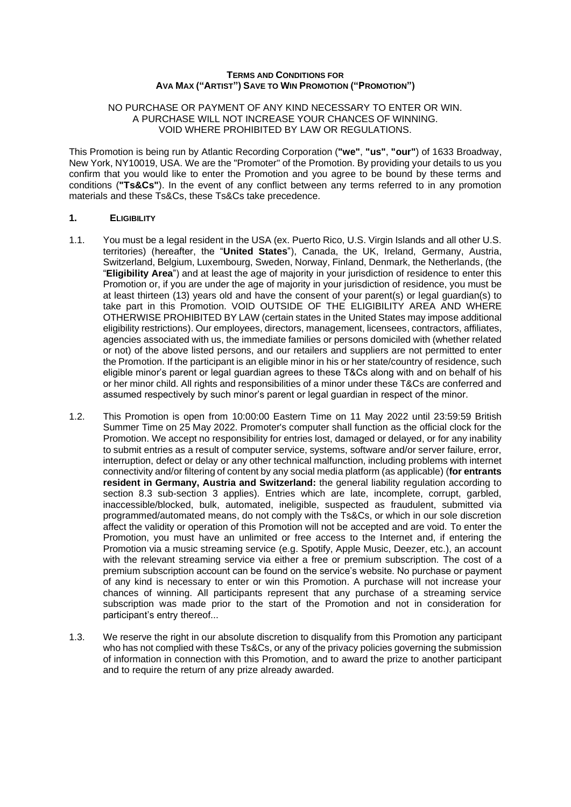### **TERMS AND CONDITIONS FOR AVA MAX ("ARTIST") SAVE TO WIN PROMOTION ("PROMOTION")**

#### NO PURCHASE OR PAYMENT OF ANY KIND NECESSARY TO ENTER OR WIN. A PURCHASE WILL NOT INCREASE YOUR CHANCES OF WINNING. VOID WHERE PROHIBITED BY LAW OR REGULATIONS.

This Promotion is being run by Atlantic Recording Corporation (**"we"**, **"us"**, **"our"**) of 1633 Broadway, New York, NY10019, USA. We are the "Promoter" of the Promotion. By providing your details to us you confirm that you would like to enter the Promotion and you agree to be bound by these terms and conditions (**"Ts&Cs"**). In the event of any conflict between any terms referred to in any promotion materials and these Ts&Cs, these Ts&Cs take precedence.

### **1. ELIGIBILITY**

- 1.1. You must be a legal resident in the USA (ex. Puerto Rico, U.S. Virgin Islands and all other U.S. territories) (hereafter, the "**United States**"), Canada, the UK, Ireland, Germany, Austria, Switzerland, Belgium, Luxembourg, Sweden, Norway, Finland, Denmark, the Netherlands, (the "**Eligibility Area**") and at least the age of majority in your jurisdiction of residence to enter this Promotion or, if you are under the age of majority in your jurisdiction of residence, you must be at least thirteen (13) years old and have the consent of your parent(s) or legal guardian(s) to take part in this Promotion. VOID OUTSIDE OF THE ELIGIBILITY AREA AND WHERE OTHERWISE PROHIBITED BY LAW (certain states in the United States may impose additional eligibility restrictions). Our employees, directors, management, licensees, contractors, affiliates, agencies associated with us, the immediate families or persons domiciled with (whether related or not) of the above listed persons, and our retailers and suppliers are not permitted to enter the Promotion. If the participant is an eligible minor in his or her state/country of residence, such eligible minor's parent or legal guardian agrees to these T&Cs along with and on behalf of his or her minor child. All rights and responsibilities of a minor under these T&Cs are conferred and assumed respectively by such minor's parent or legal guardian in respect of the minor.
- 1.2. This Promotion is open from 10:00:00 Eastern Time on 11 May 2022 until 23:59:59 British Summer Time on 25 May 2022. Promoter's computer shall function as the official clock for the Promotion. We accept no responsibility for entries lost, damaged or delayed, or for any inability to submit entries as a result of computer service, systems, software and/or server failure, error, interruption, defect or delay or any other technical malfunction, including problems with internet connectivity and/or filtering of content by any social media platform (as applicable) (**for entrants resident in Germany, Austria and Switzerland:** the general liability regulation according to section 8.3 sub-section 3 applies). Entries which are late, incomplete, corrupt, garbled, inaccessible/blocked, bulk, automated, ineligible, suspected as fraudulent, submitted via programmed/automated means, do not comply with the Ts&Cs, or which in our sole discretion affect the validity or operation of this Promotion will not be accepted and are void. To enter the Promotion, you must have an unlimited or free access to the Internet and, if entering the Promotion via a music streaming service (e.g. Spotify, Apple Music, Deezer, etc.), an account with the relevant streaming service via either a free or premium subscription. The cost of a premium subscription account can be found on the service's website. No purchase or payment of any kind is necessary to enter or win this Promotion. A purchase will not increase your chances of winning. All participants represent that any purchase of a streaming service subscription was made prior to the start of the Promotion and not in consideration for participant's entry thereof...
- 1.3. We reserve the right in our absolute discretion to disqualify from this Promotion any participant who has not complied with these Ts&Cs, or any of the privacy policies governing the submission of information in connection with this Promotion, and to award the prize to another participant and to require the return of any prize already awarded.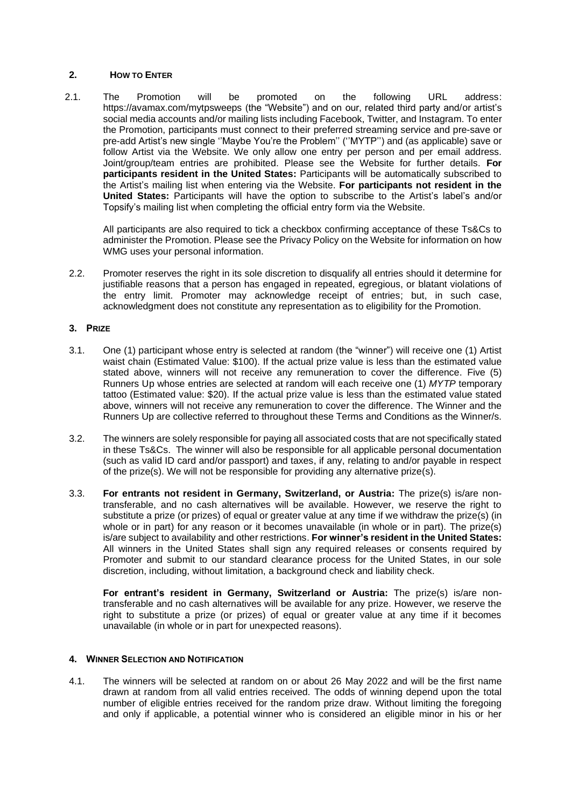# **2. HOW TO ENTER**

2.1. The Promotion will be promoted on the following URL address: https://avamax.com/mytpsweeps (the "Website") and on our, related third party and/or artist's social media accounts and/or mailing lists including Facebook, Twitter, and Instagram. To enter the Promotion, participants must connect to their preferred streaming service and pre-save or pre-add Artist's new single ''Maybe You're the Problem'' (''MYTP'') and (as applicable) save or follow Artist via the Website. We only allow one entry per person and per email address. Joint/group/team entries are prohibited. Please see the Website for further details. **For participants resident in the United States:** Participants will be automatically subscribed to the Artist's mailing list when entering via the Website. **For participants not resident in the United States:** Participants will have the option to subscribe to the Artist's label's and/or Topsify's mailing list when completing the official entry form via the Website.

All participants are also required to tick a checkbox confirming acceptance of these Ts&Cs to administer the Promotion. Please see the Privacy Policy on the Website for information on how WMG uses your personal information.

2.2. Promoter reserves the right in its sole discretion to disqualify all entries should it determine for justifiable reasons that a person has engaged in repeated, egregious, or blatant violations of the entry limit. Promoter may acknowledge receipt of entries; but, in such case, acknowledgment does not constitute any representation as to eligibility for the Promotion.

## **3. PRIZE**

- 3.1. One (1) participant whose entry is selected at random (the "winner") will receive one (1) Artist waist chain (Estimated Value: \$100). If the actual prize value is less than the estimated value stated above, winners will not receive any remuneration to cover the difference. Five (5) Runners Up whose entries are selected at random will each receive one (1) *MYTP* temporary tattoo (Estimated value: \$20). If the actual prize value is less than the estimated value stated above, winners will not receive any remuneration to cover the difference. The Winner and the Runners Up are collective referred to throughout these Terms and Conditions as the Winner/s.
- 3.2. The winners aresolely responsible for paying all associated costs that are not specifically stated in these Ts&Cs. The winner will also be responsible for all applicable personal documentation (such as valid ID card and/or passport) and taxes, if any, relating to and/or payable in respect of the prize(s). We will not be responsible for providing any alternative prize(s).
- 3.3. **For entrants not resident in Germany, Switzerland, or Austria:** The prize(s) is/are nontransferable, and no cash alternatives will be available. However, we reserve the right to substitute a prize (or prizes) of equal or greater value at any time if we withdraw the prize(s) (in whole or in part) for any reason or it becomes unavailable (in whole or in part). The prize(s) is/are subject to availability and other restrictions. **For winner's resident in the United States:**  All winners in the United States shall sign any required releases or consents required by Promoter and submit to our standard clearance process for the United States, in our sole discretion, including, without limitation, a background check and liability check.

**For entrant's resident in Germany, Switzerland or Austria:** The prize(s) is/are nontransferable and no cash alternatives will be available for any prize. However, we reserve the right to substitute a prize (or prizes) of equal or greater value at any time if it becomes unavailable (in whole or in part for unexpected reasons).

### **4. WINNER SELECTION AND NOTIFICATION**

4.1. The winners will be selected at random on or about 26 May 2022 and will be the first name drawn at random from all valid entries received. The odds of winning depend upon the total number of eligible entries received for the random prize draw. Without limiting the foregoing and only if applicable, a potential winner who is considered an eligible minor in his or her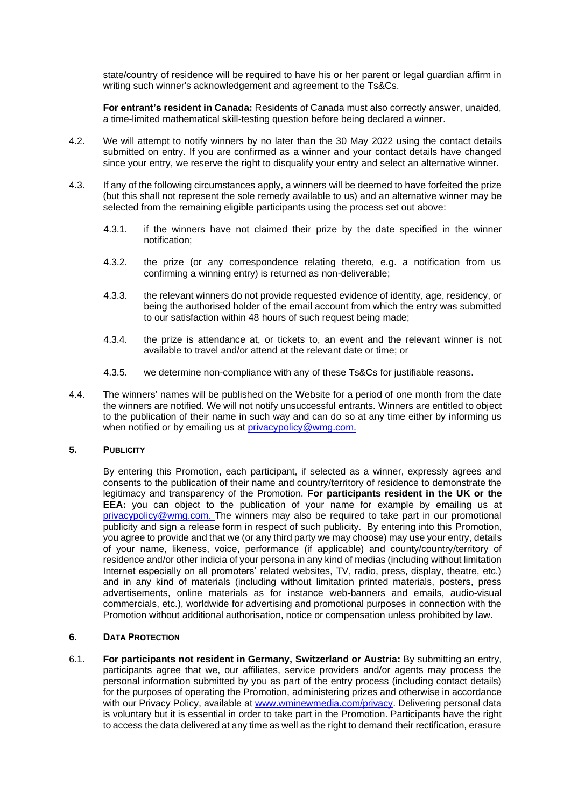state/country of residence will be required to have his or her parent or legal guardian affirm in writing such winner's acknowledgement and agreement to the Ts&Cs.

**For entrant's resident in Canada:** Residents of Canada must also correctly answer, unaided, a time-limited mathematical skill-testing question before being declared a winner.

- 4.2. We will attempt to notify winners by no later than the 30 May 2022 using the contact details submitted on entry. If you are confirmed as a winner and your contact details have changed since your entry, we reserve the right to disqualify your entry and select an alternative winner.
- 4.3. If any of the following circumstances apply, a winners will be deemed to have forfeited the prize (but this shall not represent the sole remedy available to us) and an alternative winner may be selected from the remaining eligible participants using the process set out above:
	- 4.3.1. if the winners have not claimed their prize by the date specified in the winner notification;
	- 4.3.2. the prize (or any correspondence relating thereto, e.g. a notification from us confirming a winning entry) is returned as non-deliverable;
	- 4.3.3. the relevant winners do not provide requested evidence of identity, age, residency, or being the authorised holder of the email account from which the entry was submitted to our satisfaction within 48 hours of such request being made;
	- 4.3.4. the prize is attendance at, or tickets to, an event and the relevant winner is not available to travel and/or attend at the relevant date or time; or
	- 4.3.5. we determine non-compliance with any of these Ts&Cs for justifiable reasons.
- 4.4. The winners' names will be published on the Website for a period of one month from the date the winners are notified. We will not notify unsuccessful entrants. Winners are entitled to object to the publication of their name in such way and can do so at any time either by informing us when notified or by emailing us at [privacypolicy@wmg.com.](mailto:privacypolicy@wmg.com)

## **5. PUBLICITY**

By entering this Promotion, each participant, if selected as a winner, expressly agrees and consents to the publication of their name and country/territory of residence to demonstrate the legitimacy and transparency of the Promotion. **For participants resident in the UK or the EEA:** you can object to the publication of your name for example by emailing us at [privacypolicy@wmg.com.](mailto:privacypolicy@wmg.com) The winners may also be required to take part in our promotional publicity and sign a release form in respect of such publicity. By entering into this Promotion, you agree to provide and that we (or any third party we may choose) may use your entry, details of your name, likeness, voice, performance (if applicable) and county/country/territory of residence and/or other indicia of your persona in any kind of medias (including without limitation Internet especially on all promoters' related websites, TV, radio, press, display, theatre, etc.) and in any kind of materials (including without limitation printed materials, posters, press advertisements, online materials as for instance web-banners and emails, audio-visual commercials, etc.), worldwide for advertising and promotional purposes in connection with the Promotion without additional authorisation, notice or compensation unless prohibited by law.

# **6. DATA PROTECTION**

6.1. **For participants not resident in Germany, Switzerland or Austria:** By submitting an entry, participants agree that we, our affiliates, service providers and/or agents may process the personal information submitted by you as part of the entry process (including contact details) for the purposes of operating the Promotion, administering prizes and otherwise in accordance with our Privacy Policy, available at [www.wminewmedia.com/privacy.](http://www.wminewmedia.com/privacy) Delivering personal data is voluntary but it is essential in order to take part in the Promotion. Participants have the right to access the data delivered at any time as well as the right to demand their rectification, erasure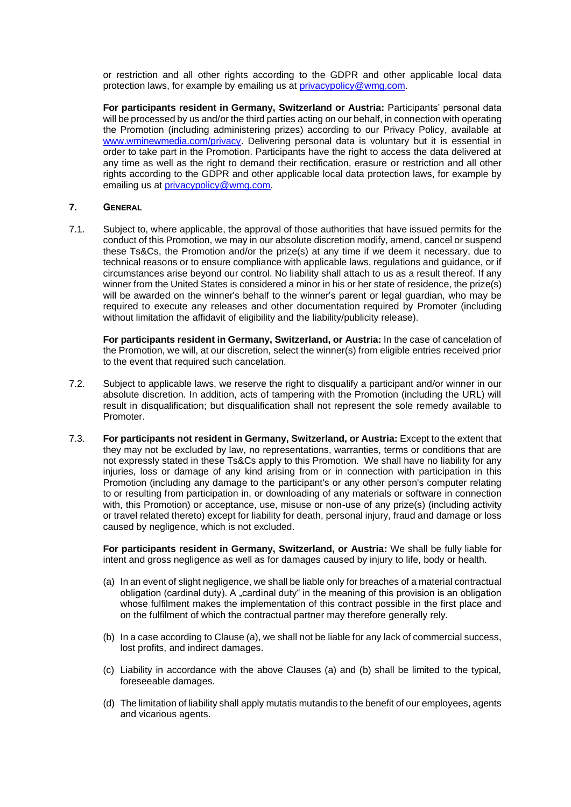or restriction and all other rights according to the GDPR and other applicable local data protection laws, for example by emailing us at [privacypolicy@wmg.com.](mailto:privacypolicy@wmg.com)

**For participants resident in Germany, Switzerland or Austria:** Participants' personal data will be processed by us and/or the third parties acting on our behalf, in connection with operating the Promotion (including administering prizes) according to our Privacy Policy, available at [www.wminewmedia.com/privacy.](http://www.wminewmedia.com/privacy) Delivering personal data is voluntary but it is essential in order to take part in the Promotion. Participants have the right to access the data delivered at any time as well as the right to demand their rectification, erasure or restriction and all other rights according to the GDPR and other applicable local data protection laws, for example by emailing us at **privacypolicy@wmg.com**.

### **7. GENERAL**

7.1. Subject to, where applicable, the approval of those authorities that have issued permits for the conduct of this Promotion, we may in our absolute discretion modify, amend, cancel or suspend these Ts&Cs, the Promotion and/or the prize(s) at any time if we deem it necessary, due to technical reasons or to ensure compliance with applicable laws, regulations and guidance, or if circumstances arise beyond our control. No liability shall attach to us as a result thereof. If any winner from the United States is considered a minor in his or her state of residence, the prize(s) will be awarded on the winner's behalf to the winner's parent or legal guardian, who may be required to execute any releases and other documentation required by Promoter (including without limitation the affidavit of eligibility and the liability/publicity release).

**For participants resident in Germany, Switzerland, or Austria:** In the case of cancelation of the Promotion, we will, at our discretion, select the winner(s) from eligible entries received prior to the event that required such cancelation.

- 7.2. Subject to applicable laws, we reserve the right to disqualify a participant and/or winner in our absolute discretion. In addition, acts of tampering with the Promotion (including the URL) will result in disqualification; but disqualification shall not represent the sole remedy available to Promoter.
- 7.3. **For participants not resident in Germany, Switzerland, or Austria:** Except to the extent that they may not be excluded by law, no representations, warranties, terms or conditions that are not expressly stated in these Ts&Cs apply to this Promotion. We shall have no liability for any injuries, loss or damage of any kind arising from or in connection with participation in this Promotion (including any damage to the participant's or any other person's computer relating to or resulting from participation in, or downloading of any materials or software in connection with, this Promotion) or acceptance, use, misuse or non-use of any prize(s) (including activity or travel related thereto) except for liability for death, personal injury, fraud and damage or loss caused by negligence, which is not excluded.

**For participants resident in Germany, Switzerland, or Austria:** We shall be fully liable for intent and gross negligence as well as for damages caused by injury to life, body or health.

- (a) In an event of slight negligence, we shall be liable only for breaches of a material contractual obligation (cardinal duty). A "cardinal duty" in the meaning of this provision is an obligation whose fulfilment makes the implementation of this contract possible in the first place and on the fulfilment of which the contractual partner may therefore generally rely.
- (b) In a case according to Clause (a), we shall not be liable for any lack of commercial success, lost profits, and indirect damages.
- (c) Liability in accordance with the above Clauses (a) and (b) shall be limited to the typical, foreseeable damages.
- (d) The limitation of liability shall apply mutatis mutandis to the benefit of our employees, agents and vicarious agents.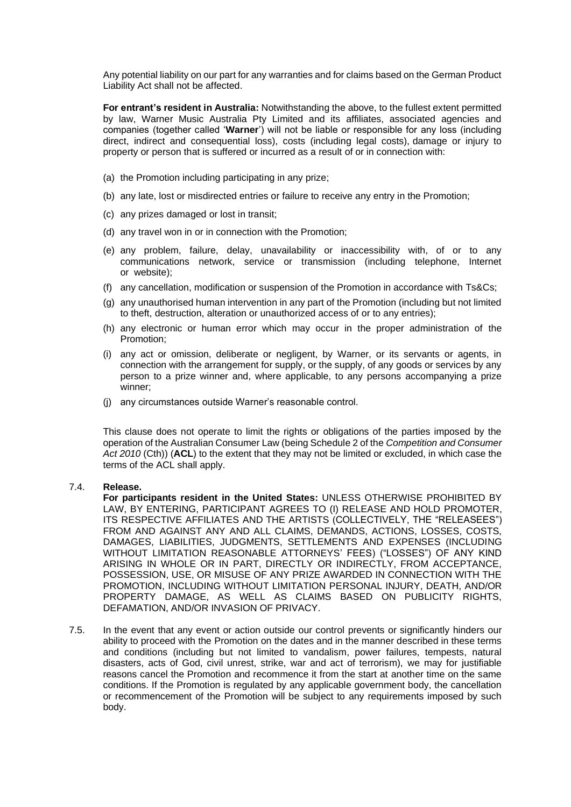Any potential liability on our part for any warranties and for claims based on the German Product Liability Act shall not be affected.

**For entrant's resident in Australia:** Notwithstanding the above, to the fullest extent permitted by law, Warner Music Australia Pty Limited and its affiliates, associated agencies and companies (together called '**Warner**') will not be liable or responsible for any loss (including direct, indirect and consequential loss), costs (including legal costs), damage or injury to property or person that is suffered or incurred as a result of or in connection with:

- (a) the Promotion including participating in any prize;
- (b) any late, lost or misdirected entries or failure to receive any entry in the Promotion;
- (c) any prizes damaged or lost in transit;
- (d) any travel won in or in connection with the Promotion;
- (e) any problem, failure, delay, unavailability or inaccessibility with, of or to any communications network, service or transmission (including telephone, Internet or website);
- (f) any cancellation, modification or suspension of the Promotion in accordance with Ts&Cs;
- (g) any unauthorised human intervention in any part of the Promotion (including but not limited to theft, destruction, alteration or unauthorized access of or to any entries);
- (h) any electronic or human error which may occur in the proper administration of the Promotion;
- (i) any act or omission, deliberate or negligent, by Warner, or its servants or agents, in connection with the arrangement for supply, or the supply, of any goods or services by any person to a prize winner and, where applicable, to any persons accompanying a prize winner;
- (j) any circumstances outside Warner's reasonable control.

This clause does not operate to limit the rights or obligations of the parties imposed by the operation of the Australian Consumer Law (being Schedule 2 of the *Competition and Consumer Act 2010* (Cth)) (**ACL**) to the extent that they may not be limited or excluded, in which case the terms of the ACL shall apply.

### 7.4. **Release.**

**For participants resident in the United States:** UNLESS OTHERWISE PROHIBITED BY LAW, BY ENTERING, PARTICIPANT AGREES TO (I) RELEASE AND HOLD PROMOTER, ITS RESPECTIVE AFFILIATES AND THE ARTISTS (COLLECTIVELY, THE "RELEASEES") FROM AND AGAINST ANY AND ALL CLAIMS, DEMANDS, ACTIONS, LOSSES, COSTS, DAMAGES, LIABILITIES, JUDGMENTS, SETTLEMENTS AND EXPENSES (INCLUDING WITHOUT LIMITATION REASONABLE ATTORNEYS' FEES) ("LOSSES") OF ANY KIND ARISING IN WHOLE OR IN PART, DIRECTLY OR INDIRECTLY, FROM ACCEPTANCE, POSSESSION, USE, OR MISUSE OF ANY PRIZE AWARDED IN CONNECTION WITH THE PROMOTION, INCLUDING WITHOUT LIMITATION PERSONAL INJURY, DEATH, AND/OR PROPERTY DAMAGE, AS WELL AS CLAIMS BASED ON PUBLICITY RIGHTS, DEFAMATION, AND/OR INVASION OF PRIVACY.

7.5. In the event that any event or action outside our control prevents or significantly hinders our ability to proceed with the Promotion on the dates and in the manner described in these terms and conditions (including but not limited to vandalism, power failures, tempests, natural disasters, acts of God, civil unrest, strike, war and act of terrorism), we may for justifiable reasons cancel the Promotion and recommence it from the start at another time on the same conditions. If the Promotion is regulated by any applicable government body, the cancellation or recommencement of the Promotion will be subject to any requirements imposed by such body.